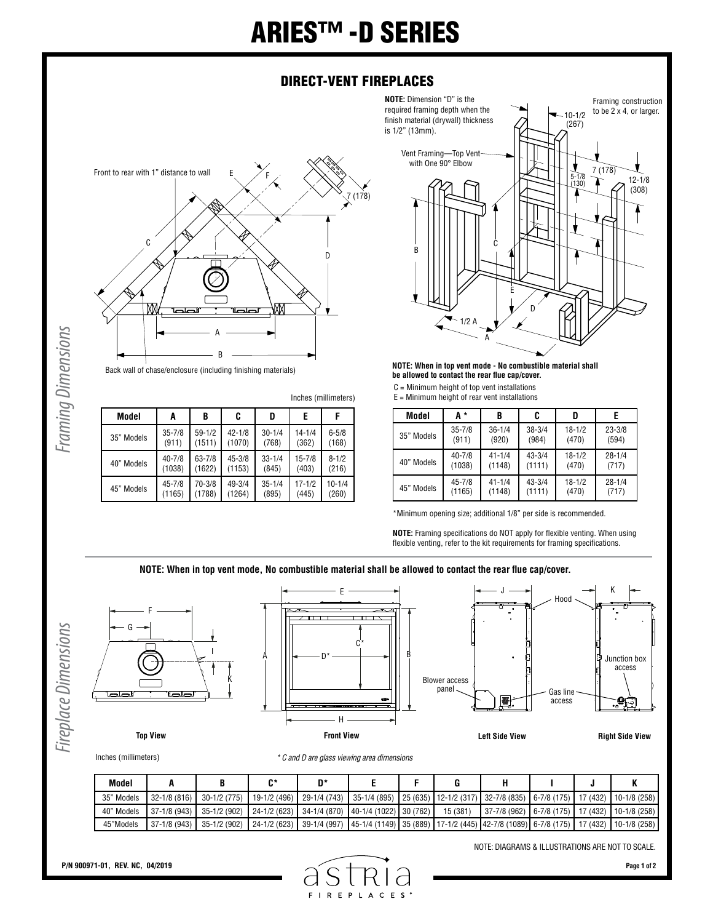## ARIES™ -D SERIES

## DIRECT-VENT FIREPLACES

**NOTE:** Dimension "D" is the



Framing Dimensions *Framing Dimensions*

Back wall of chase/enclosure (including finishing materials)

| Model      | C<br>B<br>D<br>A |            |            | E          | F          |            |
|------------|------------------|------------|------------|------------|------------|------------|
| 35" Models | $35 - 7/8$       | $59 - 1/2$ | $42 - 1/8$ | $30 - 1/4$ | $14 - 1/4$ | $6 - 5/8$  |
|            | (911)            | (1511)     | (1070)     | (768)      | (362)      | (168)      |
| 40" Models | $40 - 7/8$       | $63 - 7/8$ | $45 - 3/8$ | $33 - 1/4$ | $15 - 7/8$ | $8 - 1/2$  |
|            | (1038)           | (1622)     | (1153)     | (845)      | (403)      | (216)      |
| 45" Models | $45 - 7/8$       | 70-3/8     | $49 - 3/4$ | $35 - 1/4$ | $17 - 1/2$ | $10 - 1/4$ |
|            | (1165)           | (1788)     | (1264)     | (895)      | (445)      | (260)      |



## **NOTE: When in top vent mode - No combustible material shall be allowed to contact the rear flue cap/cover.**

- C = Minimum height of top vent installations
- $E =$  Minimum height of rear vent installations

| Model      | А*         | B          | C          | D          |            |
|------------|------------|------------|------------|------------|------------|
| 35" Models | $35 - 7/8$ | $36 - 1/4$ | $38 - 3/4$ | $18 - 1/2$ | $23 - 3/8$ |
|            | (911)      | (920)      | (984)      | (470)      | (594)      |
| 40" Models | $40 - 7/8$ | $41 - 1/4$ | $43 - 3/4$ | $18 - 1/2$ | $28 - 1/4$ |
|            | (1038)     | (1148)     | (1111)     | (470)      | (717)      |
| 45" Models | $45 - 7/8$ | $41 - 1/4$ | $43 - 3/4$ | $18 - 1/2$ | $28 - 1/4$ |
|            | (1165)     | (1148)     | (1111)     | (470)      | (717)      |

\*Minimum opening size; additional 1/8" per side is recommended.

**NOTE:** Framing specifications do NOT apply for flexible venting. When using flexible venting, refer to the kit requirements for framing specifications.

**NOTE: When in top vent mode, No combustible material shall be allowed to contact the rear flue cap/cover.**



Inches (millimeters)

*\* C and D are glass viewing area dimensions*

F I  $R$  E Þ

| Model      |                  |                                                                                                                                                             |  |  |                                                      |  |  |
|------------|------------------|-------------------------------------------------------------------------------------------------------------------------------------------------------------|--|--|------------------------------------------------------|--|--|
| 35" Models | $132 - 1/8(816)$ | 30-1/2 (775)   19-1/2 (496)   29-1/4 (743)   35-1/4 (895)   25 (635)   12-1/2 (317)   32-7/8 (835)   6-7/8 (175)   17 (432)   10-1/8 (258)                  |  |  |                                                      |  |  |
| 40" Models |                  | $\mid$ 37-1/8 (943) $\mid$ 35-1/2 (902) $\mid$ 24-1/2 (623) $\mid$ 34-1/4 (870) $\mid$ 40-1/4 (1022) $\mid$ 30 (762) $\mid$ 15 (381)                        |  |  | 37-7/8 (962)   6-7/8 (175)   17 (432)   10-1/8 (258) |  |  |
| 45"Models  |                  | 37-1/8 (943)   35-1/2 (902)   24-1/2 (623)   39-1/4 (997)   45-1/4 (1149)   35 (889)   17-1/2 (445)   42-7/8 (1089)   6-7/8 (175)   17 (432)   10-1/8 (258) |  |  |                                                      |  |  |

 $C E S$ 

NOTE: DIAGRAMS & ILLUSTRATIONS ARE NOT TO SCALE.